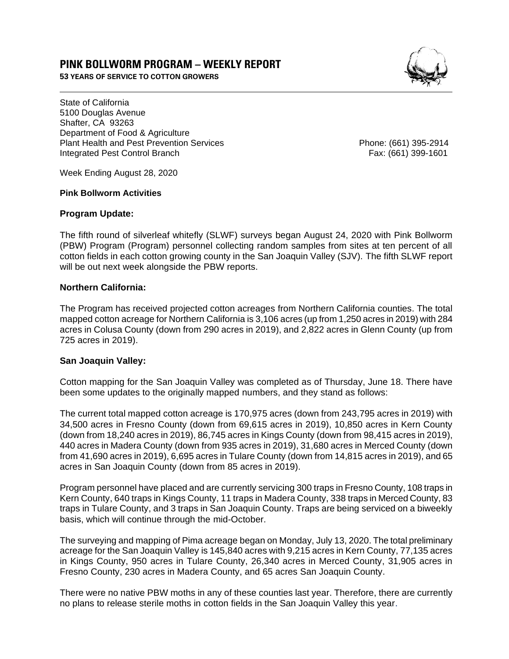# **PINK BOLLWORM PROGRAM – WEEKLY REPORT**

**53 YEARS OF SERVICE TO COTTON GROWERS** 



State of California 5100 Douglas Avenue Shafter, CA 93263 Department of Food & Agriculture Plant Health and Pest Prevention Services Phone: (661) 395-2914 Integrated Pest Control Branch Fax: (661) 399-1601

Week Ending August 28, 2020

## **Pink Bollworm Activities**

## **Program Update:**

The fifth round of silverleaf whitefly (SLWF) surveys began August 24, 2020 with Pink Bollworm (PBW) Program (Program) personnel collecting random samples from sites at ten percent of all cotton fields in each cotton growing county in the San Joaquin Valley (SJV). The fifth SLWF report will be out next week alongside the PBW reports.

# **Northern California:**

The Program has received projected cotton acreages from Northern California counties. The total mapped cotton acreage for Northern California is 3,106 acres (up from 1,250 acres in 2019) with 284 acres in Colusa County (down from 290 acres in 2019), and 2,822 acres in Glenn County (up from 725 acres in 2019).

## **San Joaquin Valley:**

Cotton mapping for the San Joaquin Valley was completed as of Thursday, June 18. There have been some updates to the originally mapped numbers, and they stand as follows:

The current total mapped cotton acreage is 170,975 acres (down from 243,795 acres in 2019) with 34,500 acres in Fresno County (down from 69,615 acres in 2019), 10,850 acres in Kern County (down from 18,240 acres in 2019), 86,745 acres in Kings County (down from 98,415 acres in 2019), 440 acres in Madera County (down from 935 acres in 2019), 31,680 acres in Merced County (down from 41,690 acres in 2019), 6,695 acres in Tulare County (down from 14,815 acres in 2019), and 65 acres in San Joaquin County (down from 85 acres in 2019).

Program personnel have placed and are currently servicing 300 traps in Fresno County, 108 traps in Kern County, 640 traps in Kings County, 11 traps in Madera County, 338 traps in Merced County, 83 traps in Tulare County, and 3 traps in San Joaquin County. Traps are being serviced on a biweekly basis, which will continue through the mid-October.

The surveying and mapping of Pima acreage began on Monday, July 13, 2020. The total preliminary acreage for the San Joaquin Valley is 145,840 acres with 9,215 acres in Kern County, 77,135 acres in Kings County, 950 acres in Tulare County, 26,340 acres in Merced County, 31,905 acres in Fresno County, 230 acres in Madera County, and 65 acres San Joaquin County.

There were no native PBW moths in any of these counties last year. Therefore, there are currently no plans to release sterile moths in cotton fields in the San Joaquin Valley this year.